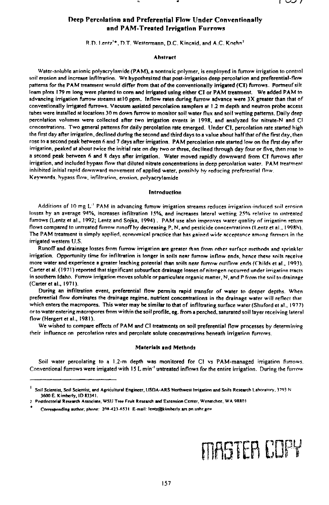# **Deep Percolation and Preferential Flow Under Conventionally and PAM-Treated Irrigation Furrows** Reep Percolation and Preferential Flow Under Conventional PAM-Treated Irrigation Furrows<br>R.D. Lentz'\*, D.T. Westermann, D.C. Kincaid, and A.C. Koehni<br>Abstract<br>Water-soluble anionic polyecylamide (PAM) a pontovic polymer is

### Abstract

Water-soluble anionic polyacrylamide (PAM), a nontoxic polymer, is employed in furrow irrigation to control soil erosion and increase infiltration. We hypothesized that post-irrigation deep percolation and preferential-flow patterns for the PAM treatment would differ from that of the conventionally irrigated (CI) furrows. Portneuf silt loam plots 179 m long were planted to corn and irrigated using either CI or PAM treatment. We added PAM to advancing irrigation furrow streams at 10 ppm. Inflow rates during furrow advance were 3X greater than that of conventionally irrigated furrows. Vacuum assisted percolation samplers at 1.2 m depth and neutron probe access tubes were installed at locations 30 m down furrow to monitor soil water flux and soil wetting patterns. Daily deep percolation volumes were collected after two irrigation events in 199R, and analyzed for nitrate-N and CI concentrations. Two general patterns for daily percolation rate emerged. tinder Cl, percolation rate started high the first day after irrigation, declined during the second and third days to a value about half that of the first day, then rose to a second peak between 6 and 7 days after irrigation. PAM percolation rate started low on the first day after irrigation, peaked at about twice the initial rate on day two or three, declined through day four or five, then rose to a second peak between 6 and R days after irrigation. Water moved rapidly downward from CI furrows after irrigation, and included bypass *flow* that diluted nitrate concentrations in deep percolation water. PAM treatment inhibited initial rapid downward movement of applied water, possibly by reducing preferential flow . Keywords, bypass *flow,* infiltration, erosion, polyacrylamide

#### Introduction

Additions of 10 mg L<sup>-1</sup> PAM in advancing furrow irrigation streams reduces irrigation-induced soil erosion losses by an average 94%, increases infiltration 15%, and increases lateral wetting 25% relative to untreated furrows (Lentz et al., 1992; Lentz and Sojka, 1994) . PAM use also improves water quality of irrigation return flows compared to untreated furrow runoff by decreasing P, N, and pesticide concentrations (Lentz et al., 1998h). The PAM treatment is simply applied, economical practice that has gained wide acceptance among farmers in the irrigated western U.S.

Runoff and drainage losses from furrow irrigation are greater than from other surface methods and sprinkler irrigation. Opportunity time for infiltration is longer in soils near furrow inflow ends, hence these soils receive more water and experience a greater leaching potential than soils near furrow outflow ends (Childs et al., 1093). Carter et al. (1971) reported that significant subsurface drainage losses of nitrogen occurred under irrigation tracts in southern Idaho. Furrow irrigation moves soluble or particulate organic matter, N, and P from the soil to drainage (Carter et al., 1971).

During an infiltration event, preferential flow permits rapid transfer of water to deeper depths. When preferential flow dominates the drainage regime, nutrient concentrations in the drainage water will reflect that which enters the macropores. This water may he similar to that of infiltrating surface water (Shuford et al., 1977) or to water entering macropores from within the soil profile, eg. from a perched, saturated soil layer receiving lateral flow (Hergert et al., 1981).

We wished to compare effects of PAM and CI treatments on soil preferential flow processes by determining their influence on percolation rates and percolate solute concentrations beneath irrigation furrows.

#### Materials and Methods

Soil water percolating to a 1.2-m depth was monitored for CI vs PAM-managed irrigation furrows Conventional furrows were irrigated with 15 L min<sup>-t</sup> untreated inflows for the entire irrigation. During the furrow

## FlififiTEB COPY

Soil Scientist, Soil Scientist, and Agricultural Engineer, USDA-ARS Northwest Irrigation and Soils Research Laboratory. 3793 N 3600 E. Kimberly, ID 83341.

<sup>2</sup> Postdoctorial Research Associate, WSU Tree Fruit Research and Extension Center, Wenatchee, WA 98801

Corresponding author; phone: 208-423-6531 E-mail: lentz@kimberly.ars.pn.usbr.gov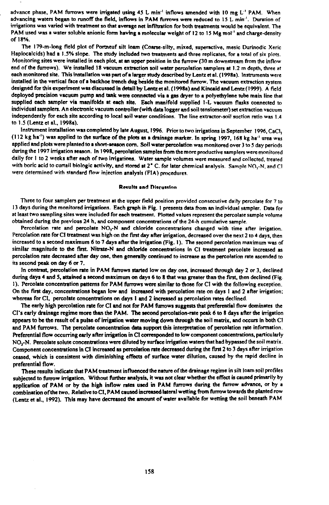advance phase, PAM furrows were irrigated using 45 L min<sup>-1</sup> inflows amended with 10 mg L<sup>-1</sup> PAM. When advancing waters began to runoff the field, inflows in PAM furrows were reduced to 15 L min'. Duration of irrigations was varied with treatment so that average net infiltration for both treatments would be equivalent. The PAM used was a water soluble anionic form having a molecular weight of 12 to 15 Mg mol' and charge-density of 18%.

The 179-m-long field plot of Portneuf silt loam (Coarse-silty, mixed, superactive, mesic Durinodic Xeric Haplocalcids) had a 1.5% slope. The study included two treatments and three replicates, for a total of six plots. Monitoring sites were installed in each plot, at an upper position in the furrow (30 m downstream from the inflow end of the furrows). We installed 18 vacuum extraction soil water percolation samplers at 1.2 m depth, three at each monitored site. This installation was part of a larger study described by Lentz **at** al. (1998a). Instruments were installed in the vertical face of a backhoe trench dug **biside** the monitored furrow. The vacuum extraction system designed for this experiment was discussed in detail by Lentz et al. (1998a) and Kincaid and Lentz (1999). A field deployed precision vacuum pump and tank were connected via a gas dryer to a polyethylene tube main line that supplied each sampler via manifolds at each site. Each manifold supplied 1-L vacuum flasks connected to individual samplers. An electronic vacuum controller (with data logger and soil tensiometer) set extraction vacuum independently for each site according to local soil water conditions. The line extractor-soil suction ratio was 1.4 to 1.5 (Lentz et al., 1998a).

Instrument installation was completed by late August, 1996. Prior to two irrigations in September 1996, CaCI,  $(112 \text{ kg ha}^{-1})$  was applied to the surface of the plots as a drainage marker. In spring 1997, 168 kg ha<sup>-1</sup> urea was applied and plots were planted to a short-season corn. Soil water percolation was monitored over 3 to 5 day periods during the 1997 irrigation season. In 1998, percolation samples from the more productive samplers were monitored daily for 1 to 2 weeks after each of two irrigations. Water sample volumes were measured and collected, treated with boric acid to curtail biologic activity, and stored at 2° C. for later chemical analysis. Sample NO,-N, and Cl were determined with standard flow injection analysis (FIA) procedures.

#### Results and Dlacussion

Three to four samplers per treatment at the upper field position provided consecutive daily percolate for 7 to 13 days during the monitored irrigations. Each graph in Fig. I presents data from an individual sampler. Data for at least two sampling sites were included for each treatment. Plotted values represent the percolate sample volume obtained during the previous 24 h, and component concentrations of the 24-h cumulative sample.

Percolation rate and percolate NO,-N and chloride concentrations changed with time after irrigation. Percolation rate for CI treatment was high on the first day after irrigation, decreased over the next 2 to 4 days, then increased to a second maximum 6 to 7 days after the irrigation (Fig. 1). The second percolation maximum was of similar magnitude to the first. Nitrate-N and chloride concentrations in CI treatment percolate increased as percolation rate decreased after day one, then generally continued to increase as the percolation rate ascended to its second peak on day 6 or 7.

In contrast, percolation rate in PAM furrows started low on day one, increased through day 2 or 3, declined during days 4 and 5, attained a second maximum on days 6 to 8 that was greater than the first, then declined (Fig I). Percolate concentration patterns for PAM furrows were similar to those for CI with the following exception. On the first day, concentrations began low and increased with percolation rate on days 1 and 2 after irrigation; whereas for CI, percolate concentrations on days I and 2 increased as percolation rates declined.

The early high percolation rate for Cl and not for PAM furrows suggests that preferential flow dominates the CI's early drainage regime more than the PAM. The second percolation-rate peak 6 to 8 days after the irrigation appears to be the result of a pulse of irrigation water moving down through the soil matrix, and occurs in both CI and PAM furrows. The percolate concentration data support this interpretation of percolation rate information. Preferential flow occurring early after irrigation in CI corresponded to low component concentrations, particularly NO,-N. Percolate solute concentrations were diluted by surface irrigation waters that had bypassed the soil matrix. Component concentrations in Cl increased as percolation rate decreased during the first 2 to 3 days after irrigation ceased, which is consistent with diminishing effects of surface water dilution, caused by the rapid decline in preferential flow.

These results indicate that PAM treatment influenced the nature of the drainage regime in silt loam soil profiles subjected to furrow irrigation. Without further analysis, it was not clear whether the effect is caused primarily by application of PAM or by the high inflow rates used in PAM furrows during the furrow advance, or by <sup>a</sup> combination of the two. Relative to CI, PAM caused increased lateral wetting from furrow towards the planted row (Lentz et al., 1992). This may have decreased the amount of water available for wetting the soil beneath PAM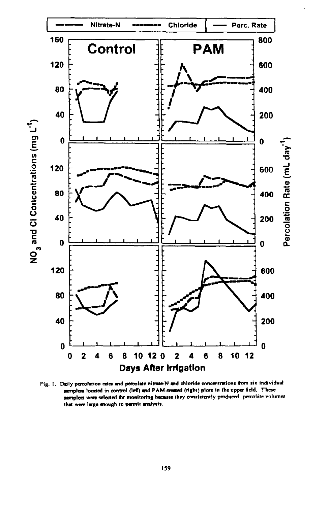

Fig. 1. Daily percolation rates and percolate nitrate-N and chloride concentrations from six individual samplers located in control (left) and PAM-treated (right) plots in the upper field. These samplers were selected for monitoring because they consistently produced percolate volumes that were large enough to permit analysis.